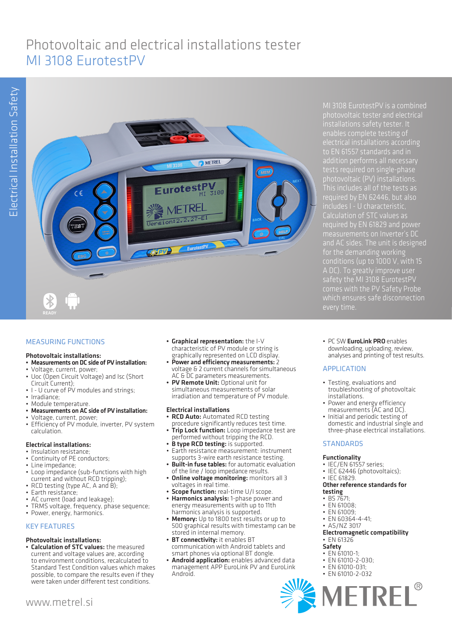# Photovoltaic and electrical installations tester MI 3108 EurotestPV



# MEASURING FUNCTIONS

#### Photovoltaic installations:

- Measurements on DC side of PV installation:
- Voltage, current, power; • Uoc (Open Circuit Voltage) and Isc (Short
- Circuit Current); • I - U curve of PV modules and strings;
- 
- Irradiance; • Module temperature.
- Measurements on AC side of PV installation:
- Voltage, current, power;
- Efficiency of PV module, inverter, PV system calculation.

## Electrical installations:

- Insulation resistance;
- Continuity of PE conductors;
- Line impedance;
- Loop impedance (sub-functions with high current and without RCD tripping);
- RCD testing (type AC, A and B);
- Earth resistance;
- AC current (load and leakage);
- TRMS voltage, frequency, phase sequence; • Power, energy, harmonics.

# KEY FEATURES

## Photovoltaic installations:

• Calculation of STC values: the measured current and voltage values are, according to environment conditions, recalculated to Standard Test Condition values which makes possible, to compare the results even if they were taken under different test conditions.

- Graphical representation: the I-V characteristic of PV module or string is graphically represented on LCD display.
- Power and efficiency measurements:  $2$ voltage & 2 current channels for simultaneous AC & DC parameters measurements.
- PV Remote Unit: Optional unit for simultaneous measurements of solar irradiation and temperature of PV module.

## Electrical installations

- RCD Auto: Automated RCD testing
- procedure significantly reduces test time. **Trip Lock function:** Loop impedance test are
- performed without tripping the RCD.
- B type RCD testing: is supported.
- Earth resistance measurement: instrument supports 3-wire earth resistance testing. **Built-in fuse tables:** for automatic evaluation
- of the line / loop impedance results.
- **Online voltage monitoring:** monitors all 3 voltages in real time.
- **Scope function:** real-time U/I scope.
- Harmonics analysis: 1-phase power and energy measurements with up to 11th harmonics analysis is supported.
- **Memory:** Up to 1800 test results or up to 500 graphical results with timestamp can be stored in internal memory.
- BT connectivity: it enables BT communication with Android tablets and smart phones via optional BT dongle.
- Android application: enables advanced data management APP EuroLink PV and EuroLink Android.

MI 3108 EurotestPV is a combined electrical installations according to EN 61557 standards and in tests required on single-phase photovoltaic (PV) installations. This includes all of the tests as includes I - U characteristic, Calculation of STC values as required by EN 61829 and power measurements on Inverter's DC and AC sides. The unit is designed for the demanding working A DC). To greatly improve user safety the MI 3108 EurotestPV

• PC SW EuroLink PRO enables downloading, uploading, review, analyses and printing of test results.

# APPLICATION

- Testing, evaluations and troubleshooting of photovoltaic installations.
- Power and energy efficiency measurements (AC and DC).
- Initial and periodic testing of domestic and industrial single and three-phase electrical installations.

# **STANDARDS**

## Functionality

- IEC/EN 61557 series;
- IEC 62446 (photovoltaics):
- IEC 61829.

#### Other reference standards for testing

- BS 7671
- $\cdot$  FN 61008;
- FN 61009
- EN 60364-4-41; • AS/NZ 3017
- 

#### Electromagnetic compatibility • EN 61326

# Safety

- EN 61010-1;
- EN 61010-2-030:
- EN 61010-031;
- EN 61010-2-032